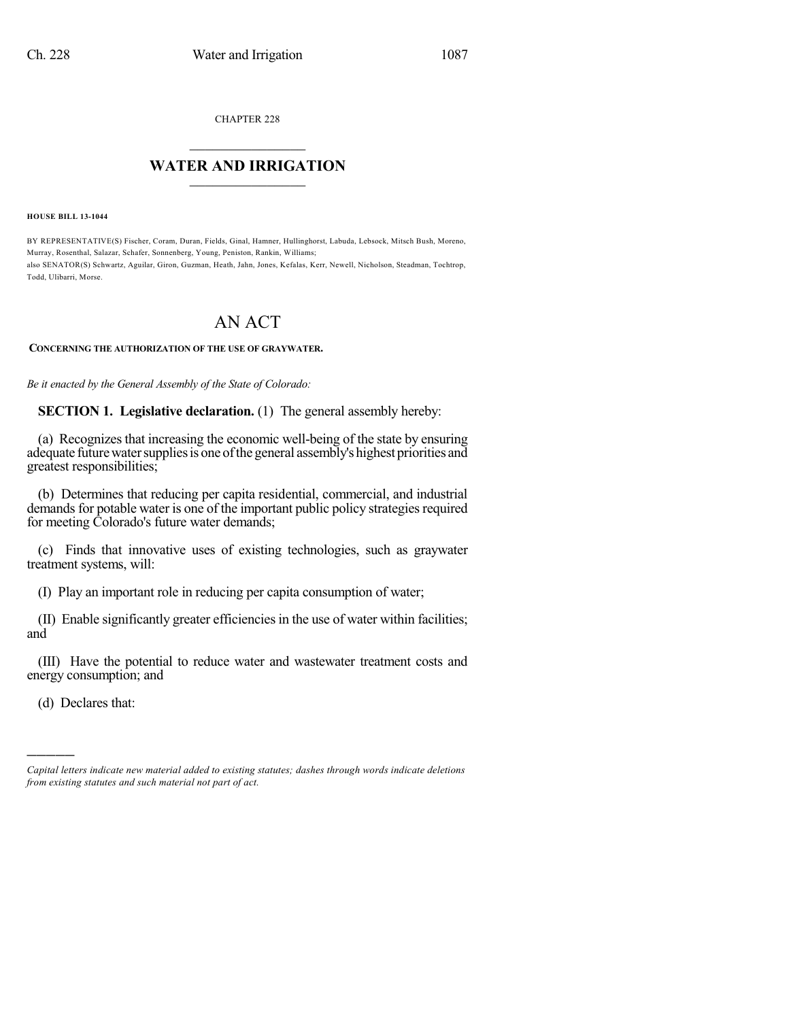CHAPTER 228

## $\mathcal{L}_\text{max}$  . The set of the set of the set of the set of the set of the set of the set of the set of the set of the set of the set of the set of the set of the set of the set of the set of the set of the set of the set **WATER AND IRRIGATION**  $\_$   $\_$

**HOUSE BILL 13-1044**

BY REPRESENTATIVE(S) Fischer, Coram, Duran, Fields, Ginal, Hamner, Hullinghorst, Labuda, Lebsock, Mitsch Bush, Moreno, Murray, Rosenthal, Salazar, Schafer, Sonnenberg, Young, Peniston, Rankin, Williams; also SENATOR(S) Schwartz, Aguilar, Giron, Guzman, Heath, Jahn, Jones, Kefalas, Kerr, Newell, Nicholson, Steadman, Tochtrop, Todd, Ulibarri, Morse.

# AN ACT

### **CONCERNING THE AUTHORIZATION OF THE USE OF GRAYWATER.**

*Be it enacted by the General Assembly of the State of Colorado:*

**SECTION 1. Legislative declaration.** (1) The general assembly hereby:

(a) Recognizes that increasing the economic well-being of the state by ensuring adequate future water supplies is one of the general assembly's highest priorities and greatest responsibilities;

(b) Determines that reducing per capita residential, commercial, and industrial demands for potable water is one of the important public policy strategies required for meeting Colorado's future water demands;

(c) Finds that innovative uses of existing technologies, such as graywater treatment systems, will:

(I) Play an important role in reducing per capita consumption of water;

(II) Enable significantly greater efficiencies in the use of water within facilities; and

(III) Have the potential to reduce water and wastewater treatment costs and energy consumption; and

(d) Declares that:

)))))

*Capital letters indicate new material added to existing statutes; dashes through words indicate deletions from existing statutes and such material not part of act.*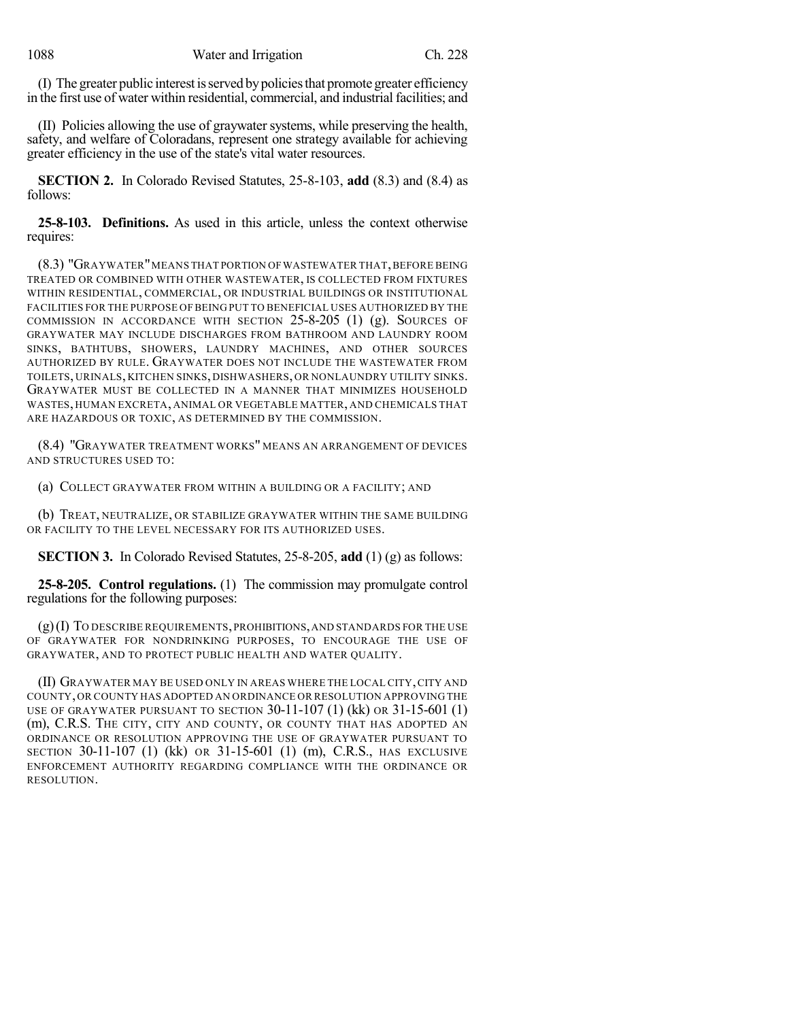(I) The greater public interestisserved bypoliciesthat promote greater efficiency in the first use of water within residential, commercial, and industrial facilities; and

(II) Policies allowing the use of graywater systems, while preserving the health, safety, and welfare of Coloradans, represent one strategy available for achieving greater efficiency in the use of the state's vital water resources.

**SECTION 2.** In Colorado Revised Statutes, 25-8-103, **add** (8.3) and (8.4) as follows:

**25-8-103. Definitions.** As used in this article, unless the context otherwise requires:

(8.3) "GRAYWATER" MEANS THAT PORTION OF WASTEWATER THAT, BEFORE BEING TREATED OR COMBINED WITH OTHER WASTEWATER, IS COLLECTED FROM FIXTURES WITHIN RESIDENTIAL, COMMERCIAL, OR INDUSTRIAL BUILDINGS OR INSTITUTIONAL FACILITIES FOR THE PURPOSE OF BEING PUT TO BENEFICIAL USES AUTHORIZED BY THE COMMISSION IN ACCORDANCE WITH SECTION  $25-8-205$  (1) (g). SOURCES OF GRAYWATER MAY INCLUDE DISCHARGES FROM BATHROOM AND LAUNDRY ROOM SINKS, BATHTUBS, SHOWERS, LAUNDRY MACHINES, AND OTHER SOURCES AUTHORIZED BY RULE. GRAYWATER DOES NOT INCLUDE THE WASTEWATER FROM TOILETS, URINALS, KITCHEN SINKS, DISHWASHERS, OR NONLAUNDRY UTILITY SINKS. GRAYWATER MUST BE COLLECTED IN A MANNER THAT MINIMIZES HOUSEHOLD WASTES, HUMAN EXCRETA, ANIMAL OR VEGETABLE MATTER, AND CHEMICALS THAT ARE HAZARDOUS OR TOXIC, AS DETERMINED BY THE COMMISSION.

(8.4) "GRAYWATER TREATMENT WORKS" MEANS AN ARRANGEMENT OF DEVICES AND STRUCTURES USED TO:

(a) COLLECT GRAYWATER FROM WITHIN A BUILDING OR A FACILITY; AND

(b) TREAT, NEUTRALIZE, OR STABILIZE GRAYWATER WITHIN THE SAME BUILDING OR FACILITY TO THE LEVEL NECESSARY FOR ITS AUTHORIZED USES.

**SECTION 3.** In Colorado Revised Statutes, 25-8-205, **add** (1) (g) as follows:

**25-8-205. Control regulations.** (1) The commission may promulgate control regulations for the following purposes:

(g)(I) TO DESCRIBE REQUIREMENTS,PROHIBITIONS,AND STANDARDS FOR THE USE OF GRAYWATER FOR NONDRINKING PURPOSES, TO ENCOURAGE THE USE OF GRAYWATER, AND TO PROTECT PUBLIC HEALTH AND WATER QUALITY.

(II) GRAYWATER MAY BE USED ONLY IN AREAS WHERE THE LOCAL CITY,CITY AND COUNTY,OR COUNTY HAS ADOPTED AN ORDINANCE OR RESOLUTION APPROVING THE USE OF GRAYWATER PURSUANT TO SECTION  $30-11-107$  (1) (kk) OR  $31-15-601$  (1) (m), C.R.S. THE CITY, CITY AND COUNTY, OR COUNTY THAT HAS ADOPTED AN ORDINANCE OR RESOLUTION APPROVING THE USE OF GRAYWATER PURSUANT TO SECTION 30-11-107 (1) (kk) OR 31-15-601 (1) (m), C.R.S., HAS EXCLUSIVE ENFORCEMENT AUTHORITY REGARDING COMPLIANCE WITH THE ORDINANCE OR RESOLUTION.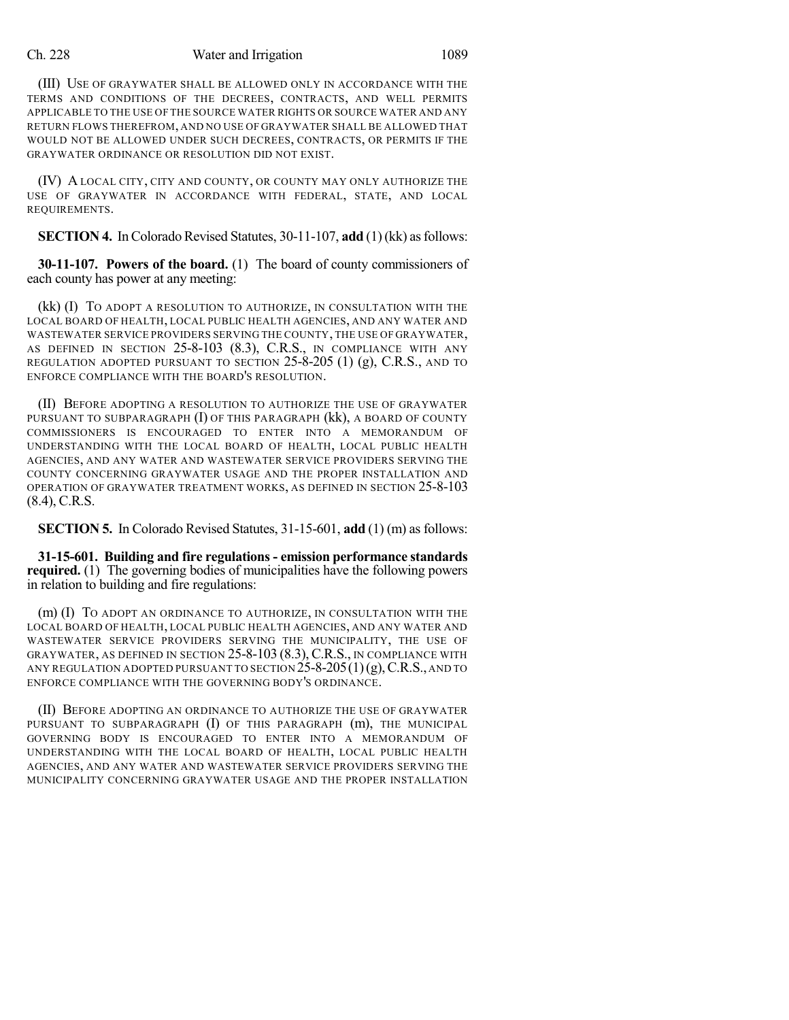#### Ch. 228 Water and Irrigation 1089

(III) USE OF GRAYWATER SHALL BE ALLOWED ONLY IN ACCORDANCE WITH THE TERMS AND CONDITIONS OF THE DECREES, CONTRACTS, AND WELL PERMITS APPLICABLE TO THE USE OF THE SOURCE WATER RIGHTS OR SOURCE WATER AND ANY RETURN FLOWS THEREFROM, AND NO USE OF GRAYWATER SHALL BE ALLOWED THAT WOULD NOT BE ALLOWED UNDER SUCH DECREES, CONTRACTS, OR PERMITS IF THE GRAYWATER ORDINANCE OR RESOLUTION DID NOT EXIST.

(IV) A LOCAL CITY, CITY AND COUNTY, OR COUNTY MAY ONLY AUTHORIZE THE USE OF GRAYWATER IN ACCORDANCE WITH FEDERAL, STATE, AND LOCAL REQUIREMENTS.

**SECTION 4.** In Colorado Revised Statutes, 30-11-107, **add** (1) (kk) as follows:

**30-11-107. Powers of the board.** (1) The board of county commissioners of each county has power at any meeting:

(kk) (I) TO ADOPT A RESOLUTION TO AUTHORIZE, IN CONSULTATION WITH THE LOCAL BOARD OF HEALTH, LOCAL PUBLIC HEALTH AGENCIES, AND ANY WATER AND WASTEWATER SERVICE PROVIDERS SERVING THE COUNTY, THE USE OF GRAYWATER, AS DEFINED IN SECTION 25-8-103 (8.3), C.R.S., IN COMPLIANCE WITH ANY REGULATION ADOPTED PURSUANT TO SECTION 25-8-205 (1) (g), C.R.S., AND TO ENFORCE COMPLIANCE WITH THE BOARD'S RESOLUTION.

(II) BEFORE ADOPTING A RESOLUTION TO AUTHORIZE THE USE OF GRAYWATER PURSUANT TO SUBPARAGRAPH (I) OF THIS PARAGRAPH (kk), A BOARD OF COUNTY COMMISSIONERS IS ENCOURAGED TO ENTER INTO A MEMORANDUM OF UNDERSTANDING WITH THE LOCAL BOARD OF HEALTH, LOCAL PUBLIC HEALTH AGENCIES, AND ANY WATER AND WASTEWATER SERVICE PROVIDERS SERVING THE COUNTY CONCERNING GRAYWATER USAGE AND THE PROPER INSTALLATION AND OPERATION OF GRAYWATER TREATMENT WORKS, AS DEFINED IN SECTION 25-8-103 (8.4), C.R.S.

**SECTION 5.** In Colorado Revised Statutes, 31-15-601, **add** (1) (m) as follows:

**31-15-601. Building and fire regulations - emission performance standards required.** (1) The governing bodies of municipalities have the following powers in relation to building and fire regulations:

(m) (I) TO ADOPT AN ORDINANCE TO AUTHORIZE, IN CONSULTATION WITH THE LOCAL BOARD OF HEALTH, LOCAL PUBLIC HEALTH AGENCIES, AND ANY WATER AND WASTEWATER SERVICE PROVIDERS SERVING THE MUNICIPALITY, THE USE OF GRAYWATER, AS DEFINED IN SECTION 25-8-103 (8.3),C.R.S., IN COMPLIANCE WITH ANY REGULATION ADOPTED PURSUANT TO SECTION  $\tilde{25}$ -8-205(1)(g), C.R.S., AND TO ENFORCE COMPLIANCE WITH THE GOVERNING BODY'S ORDINANCE.

(II) BEFORE ADOPTING AN ORDINANCE TO AUTHORIZE THE USE OF GRAYWATER PURSUANT TO SUBPARAGRAPH (I) OF THIS PARAGRAPH (m), THE MUNICIPAL GOVERNING BODY IS ENCOURAGED TO ENTER INTO A MEMORANDUM OF UNDERSTANDING WITH THE LOCAL BOARD OF HEALTH, LOCAL PUBLIC HEALTH AGENCIES, AND ANY WATER AND WASTEWATER SERVICE PROVIDERS SERVING THE MUNICIPALITY CONCERNING GRAYWATER USAGE AND THE PROPER INSTALLATION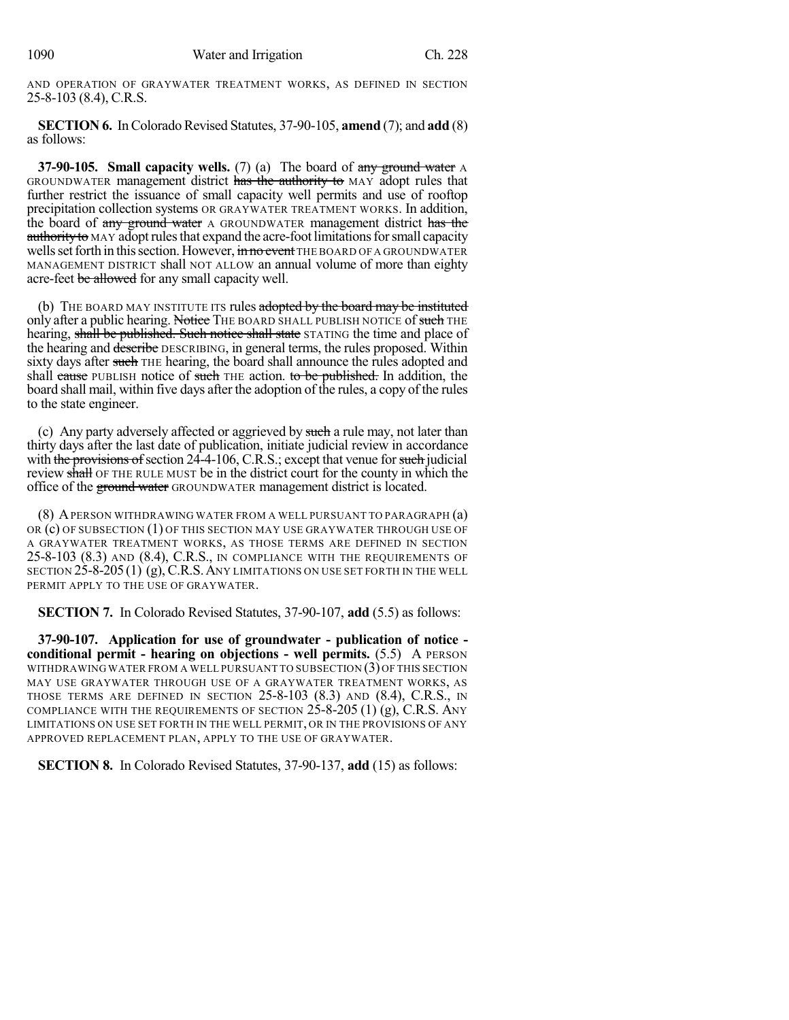AND OPERATION OF GRAYWATER TREATMENT WORKS, AS DEFINED IN SECTION 25-8-103 (8.4), C.R.S.

**SECTION 6.** In Colorado Revised Statutes, 37-90-105, **amend** (7); and **add** (8) as follows:

**37-90-105. Small capacity wells.** (7) (a) The board of any ground water A GROUNDWATER management district has the authority to MAY adopt rules that further restrict the issuance of small capacity well permits and use of rooftop precipitation collection systems OR GRAYWATER TREATMENT WORKS. In addition, the board of any ground water A GROUNDWATER management district has the authority to MAY adopt rules that expand the acre-foot limitations for small capacity wells set forth in this section. However, in no event THE BOARD OF A GROUNDWATER MANAGEMENT DISTRICT shall NOT ALLOW an annual volume of more than eighty acre-feet be allowed for any small capacity well.

(b) THE BOARD MAY INSTITUTE ITS rules adopted by the board may be instituted only after a public hearing. Notice THE BOARD SHALL PUBLISH NOTICE of such THE hearing, shall be published. Such notice shall state STATING the time and place of the hearing and describe DESCRIBING, in general terms, the rules proposed. Within sixty days after such THE hearing, the board shall announce the rules adopted and shall cause PUBLISH notice of such THE action. to be published. In addition, the board shall mail, within five days after the adoption of the rules, a copy of the rules to the state engineer.

(c) Any party adversely affected or aggrieved by such a rule may, not later than thirty days after the last date of publication, initiate judicial review in accordance with the provisions of section  $24-4-106$ , C.R.S.; except that venue for such judicial review shall OF THE RULE MUST be in the district court for the county in which the office of the ground water GROUNDWATER management district is located.

(8) APERSON WITHDRAWING WATER FROM A WELL PURSUANT TO PARAGRAPH (a) OR  $(c)$  OF SUBSECTION  $(1)$  OF THIS SECTION MAY USE GRAYWATER THROUGH USE OF A GRAYWATER TREATMENT WORKS, AS THOSE TERMS ARE DEFINED IN SECTION 25-8-103 (8.3) AND (8.4), C.R.S., IN COMPLIANCE WITH THE REQUIREMENTS OF SECTION  $25$ -8-205 (1) (g), C.R.S. ANY LIMITATIONS ON USE SET FORTH IN THE WELL PERMIT APPLY TO THE USE OF GRAYWATER.

**SECTION 7.** In Colorado Revised Statutes, 37-90-107, **add** (5.5) as follows:

**37-90-107. Application for use of groundwater - publication of notice conditional permit - hearing on objections - well permits.** (5.5) A PERSON WITHDRAWING WATER FROM A WELL PURSUANT TO SUBSECTION (3)OF THIS SECTION MAY USE GRAYWATER THROUGH USE OF A GRAYWATER TREATMENT WORKS, AS THOSE TERMS ARE DEFINED IN SECTION 25-8-103 (8.3) AND (8.4), C.R.S., IN COMPLIANCE WITH THE REQUIREMENTS OF SECTION  $25-8-205$  (1) (g), C.R.S. ANY LIMITATIONS ON USE SET FORTH IN THE WELL PERMIT, OR IN THE PROVISIONS OF ANY APPROVED REPLACEMENT PLAN, APPLY TO THE USE OF GRAYWATER.

**SECTION 8.** In Colorado Revised Statutes, 37-90-137, **add** (15) as follows: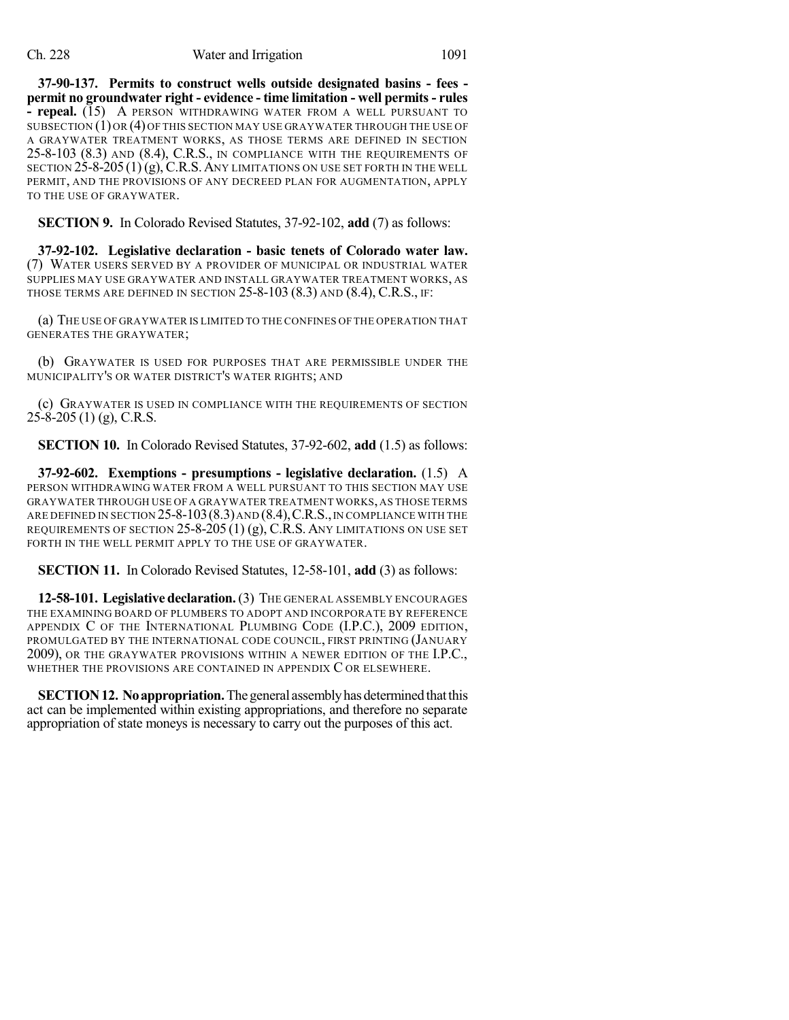#### Ch. 228 Water and Irrigation 1091

**37-90-137. Permits to construct wells outside designated basins - fees permit no groundwater right - evidence - time limitation - well permits- rules - repeal.** (15) A PERSON WITHDRAWING WATER FROM A WELL PURSUANT TO SUBSECTION (1)OR (4)OF THIS SECTION MAY USE GRAYWATER THROUGH THE USE OF A GRAYWATER TREATMENT WORKS, AS THOSE TERMS ARE DEFINED IN SECTION 25-8-103 (8.3) AND (8.4), C.R.S., IN COMPLIANCE WITH THE REQUIREMENTS OF SECTION  $25-8-205(1)(g)$ , C.R.S. ANY LIMITATIONS ON USE SET FORTH IN THE WELL PERMIT, AND THE PROVISIONS OF ANY DECREED PLAN FOR AUGMENTATION, APPLY TO THE USE OF GRAYWATER.

**SECTION 9.** In Colorado Revised Statutes, 37-92-102, **add** (7) as follows:

**37-92-102. Legislative declaration - basic tenets of Colorado water law.** (7) WATER USERS SERVED BY A PROVIDER OF MUNICIPAL OR INDUSTRIAL WATER SUPPLIES MAY USE GRAYWATER AND INSTALL GRAYWATER TREATMENT WORKS, AS THOSE TERMS ARE DEFINED IN SECTION 25-8-103 (8.3) AND (8.4), C.R.S., IF:

(a) THE USE OF GRAYWATER IS LIMITED TO THE CONFINES OF THE OPERATION THAT GENERATES THE GRAYWATER;

(b) GRAYWATER IS USED FOR PURPOSES THAT ARE PERMISSIBLE UNDER THE MUNICIPALITY'S OR WATER DISTRICT'S WATER RIGHTS; AND

(c) GRAYWATER IS USED IN COMPLIANCE WITH THE REQUIREMENTS OF SECTION 25-8-205 (1) (g), C.R.S.

**SECTION 10.** In Colorado Revised Statutes, 37-92-602, **add** (1.5) as follows:

**37-92-602. Exemptions - presumptions - legislative declaration.** (1.5) A PERSON WITHDRAWING WATER FROM A WELL PURSUANT TO THIS SECTION MAY USE GRAYWATER THROUGH USE OF A GRAYWATER TREATMENT WORKS, AS THOSE TERMS ARE DEFINED IN SECTION 25-8-103 (8.3) AND (8.4), C.R.S., IN COMPLIANCE WITH THE REQUIREMENTS OF SECTION  $25$ -8-205 (1) (g), C.R.S. ANY LIMITATIONS ON USE SET FORTH IN THE WELL PERMIT APPLY TO THE USE OF GRAYWATER.

**SECTION 11.** In Colorado Revised Statutes, 12-58-101, **add** (3) as follows:

**12-58-101. Legislative declaration.**(3) THE GENERAL ASSEMBLY ENCOURAGES THE EXAMINING BOARD OF PLUMBERS TO ADOPT AND INCORPORATE BY REFERENCE APPENDIX C OF THE INTERNATIONAL PLUMBING CODE (I.P.C.), 2009 EDITION, PROMULGATED BY THE INTERNATIONAL CODE COUNCIL, FIRST PRINTING (JANUARY 2009), OR THE GRAYWATER PROVISIONS WITHIN A NEWER EDITION OF THE I.P.C., WHETHER THE PROVISIONS ARE CONTAINED IN APPENDIX C OR ELSEWHERE.

**SECTION 12. No appropriation.** The general assembly has determined that this act can be implemented within existing appropriations, and therefore no separate appropriation of state moneys is necessary to carry out the purposes of this act.